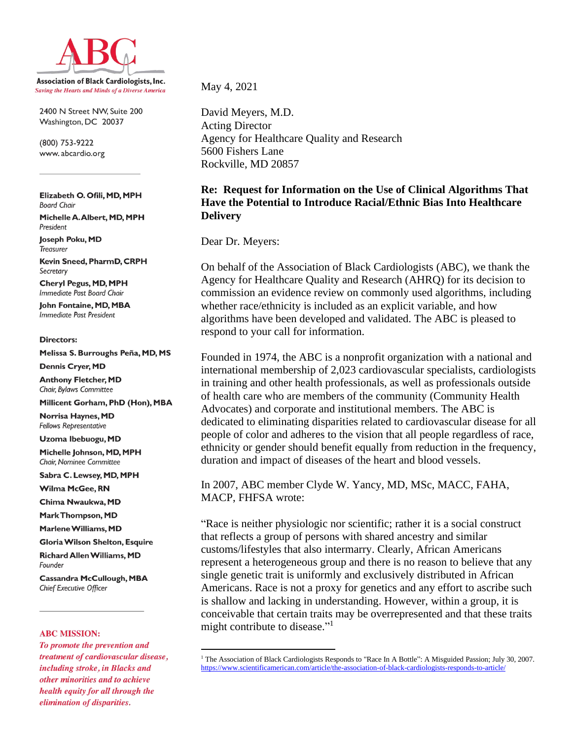

2400 N Street NW, Suite 200 Washington, DC 20037

(800) 753-9222 www.abcardio.org

Elizabeth O. Ofili, MD, MPH **Board Chair** 

Michelle A. Albert, MD, MPH President

**loseph Poku, MD Treasurer** 

Kevin Sneed, PharmD, CRPH Secretary

**Cheryl Pegus, MD, MPH** Immediate Past Board Chair

**John Fontaine, MD, MBA Immediate Past President** 

#### **Directors:**

Melissa S. Burroughs Peña, MD, MS

**Dennis Cryer, MD** 

**Anthony Fletcher, MD** Chair, Bylaws Committee

Millicent Gorham, PhD (Hon), MBA

Norrisa Haynes, MD **Fellows Representative** 

Uzoma Ibebuogu, MD

Michelle Johnson, MD, MPH Chair, Nominee Committee

Sabra C. Lewsey, MD, MPH

Wilma McGee, RN

Chima Nwaukwa, MD

Mark Thompson, MD

Marlene Williams, MD

Gloria Wilson Shelton, Esquire

**Richard Allen Williams, MD** Founder

**Cassandra McCullough, MBA** Chief Executive Officer

#### **ABC MISSION:**

To promote the prevention and treatment of cardiovascular disease, including stroke, in Blacks and other minorities and to achieve health equity for all through the elimination of disparities.

May 4, 2021

David Meyers, M.D. Acting Director Agency for Healthcare Quality and Research 5600 Fishers Lane Rockville, MD 20857

## **Re: Request for Information on the Use of Clinical Algorithms That Have the Potential to Introduce Racial/Ethnic Bias Into Healthcare Delivery**

Dear Dr. Meyers:

On behalf of the Association of Black Cardiologists (ABC), we thank the Agency for Healthcare Quality and Research (AHRQ) for its decision to commission an evidence review on commonly used algorithms, including whether race/ethnicity is included as an explicit variable, and how algorithms have been developed and validated. The ABC is pleased to respond to your call for information.

Founded in 1974, the ABC is a nonprofit organization with a national and international membership of 2,023 cardiovascular specialists, cardiologists in training and other health professionals, as well as professionals outside of health care who are members of the community (Community Health Advocates) and corporate and institutional members. The ABC is dedicated to eliminating disparities related to cardiovascular disease for all people of color and adheres to the vision that all people regardless of race, ethnicity or gender should benefit equally from reduction in the frequency, duration and impact of diseases of the heart and blood vessels.

In 2007, ABC member Clyde W. Yancy, MD, MSc, MACC, FAHA, MACP, FHFSA wrote:

"Race is neither physiologic nor scientific; rather it is a social construct that reflects a group of persons with shared ancestry and similar customs/lifestyles that also intermarry. Clearly, African Americans represent a heterogeneous group and there is no reason to believe that any single genetic trait is uniformly and exclusively distributed in African Americans. Race is not a proxy for genetics and any effort to ascribe such is shallow and lacking in understanding. However, within a group, it is conceivable that certain traits may be overrepresented and that these traits might contribute to disease."<sup>1</sup>

<sup>1</sup> The Association of Black Cardiologists Responds to "Race In A Bottle": A Misguided Passion; July 30, 2007. <https://www.scientificamerican.com/article/the-association-of-black-cardiologists-responds-to-article/>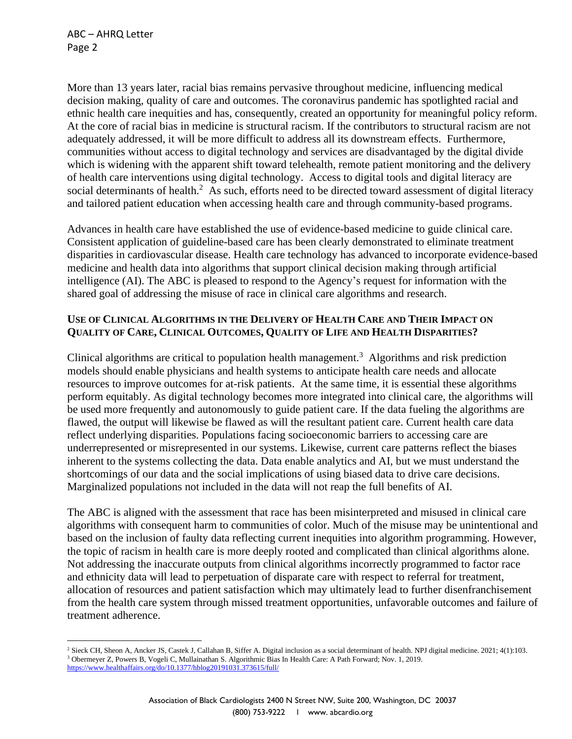More than 13 years later, racial bias remains pervasive throughout medicine, influencing medical decision making, quality of care and outcomes. The coronavirus pandemic has spotlighted racial and ethnic health care inequities and has, consequently, created an opportunity for meaningful policy reform. At the core of racial bias in medicine is structural racism. If the contributors to structural racism are not adequately addressed, it will be more difficult to address all its downstream effects. Furthermore, communities without access to digital technology and services are disadvantaged by the digital divide which is widening with the apparent shift toward telehealth, remote patient monitoring and the delivery of health care interventions using digital technology. Access to digital tools and digital literacy are social determinants of health.<sup>2</sup> As such, efforts need to be directed toward assessment of digital literacy and tailored patient education when accessing health care and through community-based programs.

Advances in health care have established the use of evidence-based medicine to guide clinical care. Consistent application of guideline-based care has been clearly demonstrated to eliminate treatment disparities in cardiovascular disease. Health care technology has advanced to incorporate evidence-based medicine and health data into algorithms that support clinical decision making through artificial intelligence (AI). The ABC is pleased to respond to the Agency's request for information with the shared goal of addressing the misuse of race in clinical care algorithms and research.

# USE OF CLINICAL ALGORITHMS IN THE DELIVERY OF HEALTH CARE AND THEIR IMPACT ON **QUALITY OF CARE, CLINICAL OUTCOMES, QUALITY OF LIFE AND HEALTH DISPARITIES?**

Clinical algorithms are critical to population health management.<sup>3</sup> Algorithms and risk prediction models should enable physicians and health systems to anticipate health care needs and allocate resources to improve outcomes for at-risk patients. At the same time, it is essential these algorithms perform equitably. As digital technology becomes more integrated into clinical care, the algorithms will be used more frequently and autonomously to guide patient care. If the data fueling the algorithms are flawed, the output will likewise be flawed as will the resultant patient care. Current health care data reflect underlying disparities. Populations facing socioeconomic barriers to accessing care are underrepresented or misrepresented in our systems. Likewise, current care patterns reflect the biases inherent to the systems collecting the data. Data enable analytics and AI, but we must understand the shortcomings of our data and the social implications of using biased data to drive care decisions. Marginalized populations not included in the data will not reap the full benefits of AI.

The ABC is aligned with the assessment that race has been misinterpreted and misused in clinical care algorithms with consequent harm to communities of color. Much of the misuse may be unintentional and based on the inclusion of faulty data reflecting current inequities into algorithm programming. However, the topic of racism in health care is more deeply rooted and complicated than clinical algorithms alone. Not addressing the inaccurate outputs from clinical algorithms incorrectly programmed to factor race and ethnicity data will lead to perpetuation of disparate care with respect to referral for treatment, allocation of resources and patient satisfaction which may ultimately lead to further disenfranchisement from the health care system through missed treatment opportunities, unfavorable outcomes and failure of treatment adherence.

<sup>2</sup> Sieck CH, Sheon A, Ancker JS, Castek J, Callahan B, Siffer A. Digital inclusion as a social determinant of health. NPJ digital medicine. 2021; 4(1):103. <sup>3</sup> Obermeyer Z, Powers B, Vogeli C, Mullainathan S. Algorithmic Bias In Health Care: A Path Forward; Nov. 1, 2019. <https://www.healthaffairs.org/do/10.1377/hblog20191031.373615/full/>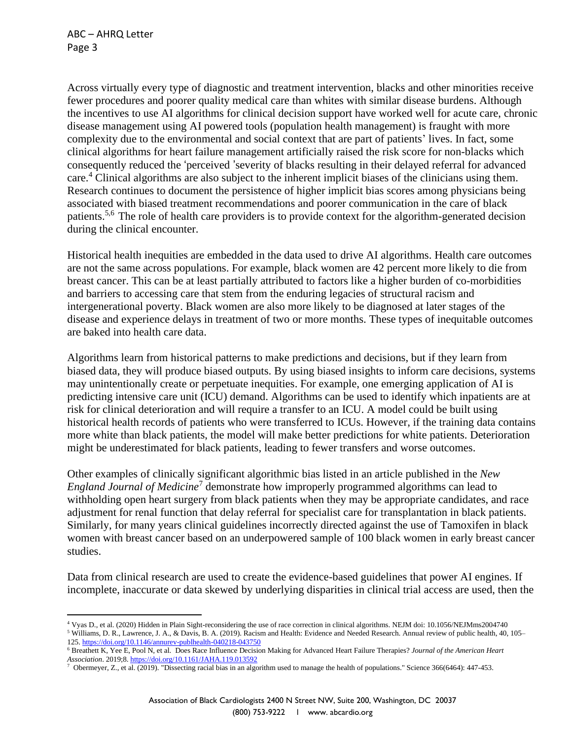Across virtually every type of diagnostic and treatment intervention, blacks and other minorities receive fewer procedures and poorer quality medical care than whites with similar disease burdens. Although the incentives to use AI algorithms for clinical decision support have worked well for acute care, chronic disease management using AI powered tools (population health management) is fraught with more complexity due to the environmental and social context that are part of patients' lives. In fact, some clinical algorithms for heart failure management artificially raised the risk score for non-blacks which consequently reduced the 'perceived 'severity of blacks resulting in their delayed referral for advanced care.<sup>4</sup> Clinical algorithms are also subject to the inherent implicit biases of the clinicians using them. Research continues to document the persistence of higher implicit bias scores among physicians being associated with biased treatment recommendations and poorer communication in the care of black patients.5,6 The role of health care providers is to provide context for the algorithm-generated decision during the clinical encounter.

Historical health inequities are embedded in the data used to drive AI algorithms. Health care outcomes are not the same across populations. For example, black women are 42 percent more likely to die from breast cancer. This can be at least partially attributed to factors like a higher burden of co-morbidities and barriers to accessing care that stem from the enduring legacies of structural racism and intergenerational poverty. Black women are also more likely to be diagnosed at later stages of the disease and experience delays in treatment of two or more months. These types of inequitable outcomes are baked into health care data.

Algorithms learn from historical patterns to make predictions and decisions, but if they learn from biased data, they will produce biased outputs. By using biased insights to inform care decisions, systems may unintentionally create or perpetuate inequities. For example, one emerging application of AI is predicting intensive care unit (ICU) demand. Algorithms can be used to identify which inpatients are at risk for clinical deterioration and will require a transfer to an ICU. A model could be built using historical health records of patients who were transferred to ICUs. However, if the training data contains more white than black patients, the model will make better predictions for white patients. Deterioration might be underestimated for black patients, leading to fewer transfers and worse outcomes.

Other examples of clinically significant algorithmic bias listed in an article published in the *New England Journal of Medicine*<sup>7</sup> demonstrate how improperly programmed algorithms can lead to withholding open heart surgery from black patients when they may be appropriate candidates, and race adjustment for renal function that delay referral for specialist care for transplantation in black patients. Similarly, for many years clinical guidelines incorrectly directed against the use of Tamoxifen in black women with breast cancer based on an underpowered sample of 100 black women in early breast cancer studies.

Data from clinical research are used to create the evidence-based guidelines that power AI engines. If incomplete, inaccurate or data skewed by underlying disparities in clinical trial access are used, then the

<sup>5</sup> Williams, D. R., Lawrence, J. A., & Davis, B. A. (2019). Racism and Health: Evidence and Needed Research. Annual review of public health, 40, 105– 125. <https://doi.org/10.1146/annurev-publhealth-040218-043750>

<sup>4</sup> Vyas D., et al. (2020) Hidden in Plain Sight-reconsidering the use of race correction in clinical algorithms. NEJM doi: 10.1056/NEJMms2004740

<sup>6</sup> Breathett K, Yee E, Pool N, et al. Does Race Influence Decision Making for Advanced Heart Failure Therapies? *Journal of the American Heart Association*. 2019;8. <https://doi.org/10.1161/JAHA.119.013592>

<sup>&</sup>lt;sup>7</sup> Obermeyer, Z., et al. (2019). "Dissecting racial bias in an algorithm used to manage the health of populations." Science 366(6464): 447-453.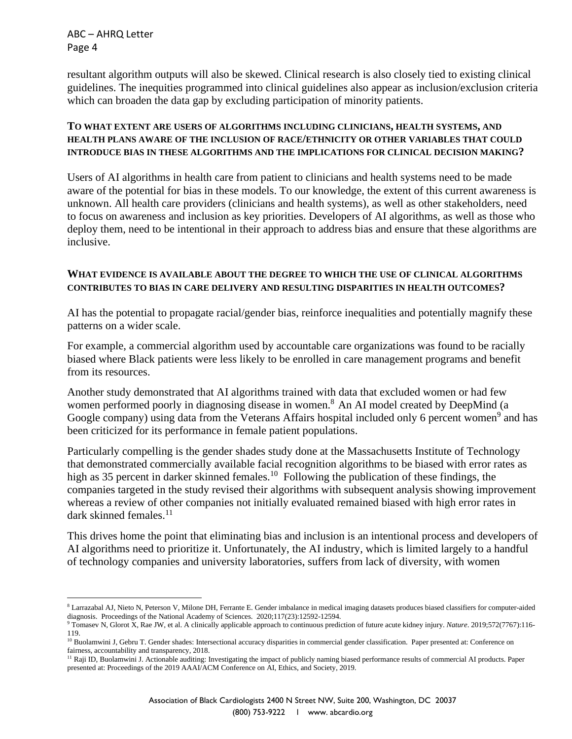resultant algorithm outputs will also be skewed. Clinical research is also closely tied to existing clinical guidelines. The inequities programmed into clinical guidelines also appear as inclusion/exclusion criteria which can broaden the data gap by excluding participation of minority patients.

## **TO WHAT EXTENT ARE USERS OF ALGORITHMS INCLUDING CLINICIANS, HEALTH SYSTEMS, AND HEALTH PLANS AWARE OF THE INCLUSION OF RACE/ETHNICITY OR OTHER VARIABLES THAT COULD INTRODUCE BIAS IN THESE ALGORITHMS AND THE IMPLICATIONS FOR CLINICAL DECISION MAKING?**

Users of AI algorithms in health care from patient to clinicians and health systems need to be made aware of the potential for bias in these models. To our knowledge, the extent of this current awareness is unknown. All health care providers (clinicians and health systems), as well as other stakeholders, need to focus on awareness and inclusion as key priorities. Developers of AI algorithms, as well as those who deploy them, need to be intentional in their approach to address bias and ensure that these algorithms are inclusive.

#### **WHAT EVIDENCE IS AVAILABLE ABOUT THE DEGREE TO WHICH THE USE OF CLINICAL ALGORITHMS CONTRIBUTES TO BIAS IN CARE DELIVERY AND RESULTING DISPARITIES IN HEALTH OUTCOMES?**

AI has the potential to propagate racial/gender bias, reinforce inequalities and potentially magnify these patterns on a wider scale.

For example, a commercial algorithm used by accountable care organizations was found to be racially biased where Black patients were less likely to be enrolled in care management programs and benefit from its resources.

Another study demonstrated that AI algorithms trained with data that excluded women or had few women performed poorly in diagnosing disease in women.<sup>8</sup> An AI model created by DeepMind (a Google company) using data from the Veterans Affairs hospital included only 6 percent women<sup>9</sup> and has been criticized for its performance in female patient populations.

Particularly compelling is the gender shades study done at the Massachusetts Institute of Technology that demonstrated commercially available facial recognition algorithms to be biased with error rates as high as 35 percent in darker skinned females.<sup>10</sup> Following the publication of these findings, the companies targeted in the study revised their algorithms with subsequent analysis showing improvement whereas a review of other companies not initially evaluated remained biased with high error rates in dark skinned females.<sup>11</sup>

This drives home the point that eliminating bias and inclusion is an intentional process and developers of AI algorithms need to prioritize it. Unfortunately, the AI industry, which is limited largely to a handful of technology companies and university laboratories, suffers from lack of diversity, with women

<sup>8</sup> Larrazabal AJ, Nieto N, Peterson V, Milone DH, Ferrante E. Gender imbalance in medical imaging datasets produces biased classifiers for computer-aided diagnosis. Proceedings of the National Academy of Sciences. 2020;117(23):12592-12594.

<sup>9</sup> Tomasev N, Glorot X, Rae JW, et al. A clinically applicable approach to continuous prediction of future acute kidney injury. *Nature*. 2019;572(7767):116- 119.

<sup>&</sup>lt;sup>10</sup> Buolamwini J, Gebru T. Gender shades: Intersectional accuracy disparities in commercial gender classification. Paper presented at: Conference on fairness, accountability and transparency, 2018.

<sup>&</sup>lt;sup>11</sup> Raji ID, Buolamwini J. Actionable auditing: Investigating the impact of publicly naming biased performance results of commercial AI products. Paper presented at: Proceedings of the 2019 AAAI/ACM Conference on AI, Ethics, and Society, 2019.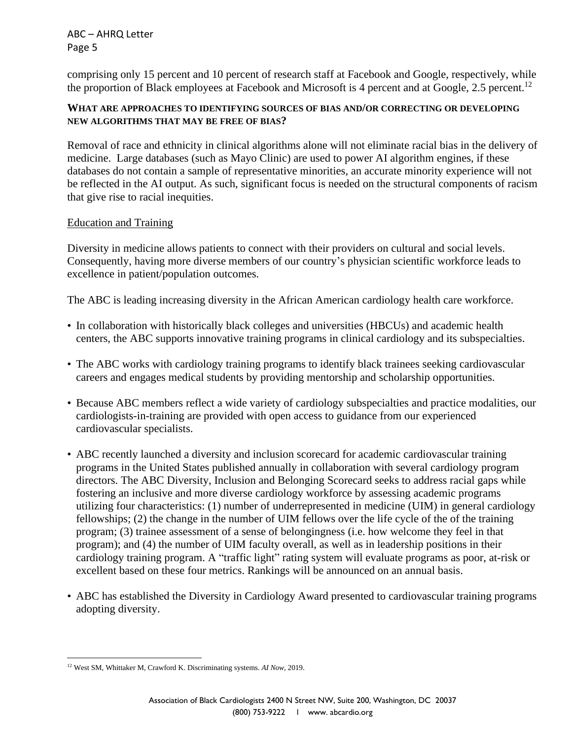comprising only 15 percent and 10 percent of research staff at Facebook and Google, respectively, while the proportion of Black employees at Facebook and Microsoft is 4 percent and at Google, 2.5 percent.<sup>12</sup>

# **WHAT ARE APPROACHES TO IDENTIFYING SOURCES OF BIAS AND/OR CORRECTING OR DEVELOPING NEW ALGORITHMS THAT MAY BE FREE OF BIAS?**

Removal of race and ethnicity in clinical algorithms alone will not eliminate racial bias in the delivery of medicine. Large databases (such as Mayo Clinic) are used to power AI algorithm engines, if these databases do not contain a sample of representative minorities, an accurate minority experience will not be reflected in the AI output. As such, significant focus is needed on the structural components of racism that give rise to racial inequities.

## Education and Training

Diversity in medicine allows patients to connect with their providers on cultural and social levels. Consequently, having more diverse members of our country's physician scientific workforce leads to excellence in patient/population outcomes.

The ABC is leading increasing diversity in the African American cardiology health care workforce.

- In collaboration with historically black colleges and universities (HBCUs) and academic health centers, the ABC supports innovative training programs in clinical cardiology and its subspecialties.
- The ABC works with cardiology training programs to identify black trainees seeking cardiovascular careers and engages medical students by providing mentorship and scholarship opportunities.
- Because ABC members reflect a wide variety of cardiology subspecialties and practice modalities, our cardiologists-in-training are provided with open access to guidance from our experienced cardiovascular specialists.
- ABC recently launched a diversity and inclusion scorecard for academic cardiovascular training programs in the United States published annually in collaboration with several cardiology program directors. The ABC Diversity, Inclusion and Belonging Scorecard seeks to address racial gaps while fostering an inclusive and more diverse cardiology workforce by assessing academic programs utilizing four characteristics: (1) number of underrepresented in medicine (UIM) in general cardiology fellowships; (2) the change in the number of UIM fellows over the life cycle of the of the training program; (3) trainee assessment of a sense of belongingness (i.e. how welcome they feel in that program); and (4) the number of UIM faculty overall, as well as in leadership positions in their cardiology training program. A "traffic light" rating system will evaluate programs as poor, at-risk or excellent based on these four metrics. Rankings will be announced on an annual basis.
- ABC has established the Diversity in Cardiology Award presented to cardiovascular training programs adopting diversity.

<sup>12</sup> West SM, Whittaker M, Crawford K. Discriminating systems. *AI Now,* 2019.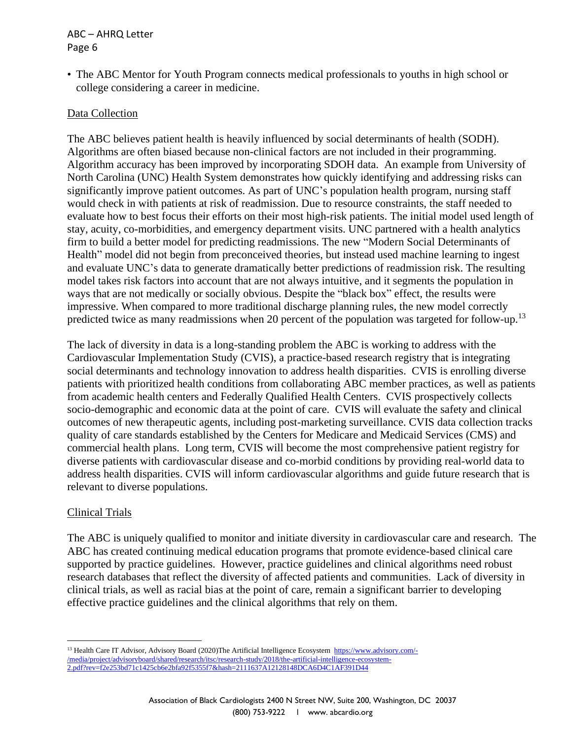• The ABC Mentor for Youth Program connects medical professionals to youths in high school or college considering a career in medicine.

# Data Collection

The ABC believes patient health is heavily influenced by social determinants of health (SODH). Algorithms are often biased because non-clinical factors are not included in their programming. Algorithm accuracy has been improved by incorporating SDOH data. An example from University of North Carolina (UNC) Health System demonstrates how quickly identifying and addressing risks can significantly improve patient outcomes. As part of UNC's population health program, nursing staff would check in with patients at risk of readmission. Due to resource constraints, the staff needed to evaluate how to best focus their efforts on their most high-risk patients. The initial model used length of stay, acuity, co-morbidities, and emergency department visits. UNC partnered with a health analytics firm to build a better model for predicting readmissions. The new "Modern Social Determinants of Health" model did not begin from preconceived theories, but instead used machine learning to ingest and evaluate UNC's data to generate dramatically better predictions of readmission risk. The resulting model takes risk factors into account that are not always intuitive, and it segments the population in ways that are not medically or socially obvious. Despite the "black box" effect, the results were impressive. When compared to more traditional discharge planning rules, the new model correctly predicted twice as many readmissions when 20 percent of the population was targeted for follow-up.<sup>13</sup>

The lack of diversity in data is a long-standing problem the ABC is working to address with the Cardiovascular Implementation Study (CVIS), a practice-based research registry that is integrating social determinants and technology innovation to address health disparities. CVIS is enrolling diverse patients with prioritized health conditions from collaborating ABC member practices, as well as patients from academic health centers and Federally Qualified Health Centers. CVIS prospectively collects socio-demographic and economic data at the point of care. CVIS will evaluate the safety and clinical outcomes of new therapeutic agents, including post-marketing surveillance. CVIS data collection tracks quality of care standards established by the Centers for Medicare and Medicaid Services (CMS) and commercial health plans. Long term, CVIS will become the most comprehensive patient registry for diverse patients with cardiovascular disease and co-morbid conditions by providing real-world data to address health disparities. CVIS will inform cardiovascular algorithms and guide future research that is relevant to diverse populations.

## Clinical Trials

The ABC is uniquely qualified to monitor and initiate diversity in cardiovascular care and research. The ABC has created continuing medical education programs that promote evidence-based clinical care supported by practice guidelines. However, practice guidelines and clinical algorithms need robust research databases that reflect the diversity of affected patients and communities. Lack of diversity in clinical trials, as well as racial bias at the point of care, remain a significant barrier to developing effective practice guidelines and the clinical algorithms that rely on them.

<sup>13</sup> Health Care IT Advisor, Advisory Board (2020)The Artificial Intelligence Ecosystem [https://www.advisory.com/-](https://www.advisory.com/-/media/project/advisoryboard/shared/research/itsc/research-study/2018/the-artificial-intelligence-ecosystem-2.pdf?rev=f2e253bd71c1425cb6e2bfa92f5355f7&hash=2111637A12128148DCA6D4C1AF391D44) [/media/project/advisoryboard/shared/research/itsc/research-study/2018/the-artificial-intelligence-ecosystem-](https://www.advisory.com/-/media/project/advisoryboard/shared/research/itsc/research-study/2018/the-artificial-intelligence-ecosystem-2.pdf?rev=f2e253bd71c1425cb6e2bfa92f5355f7&hash=2111637A12128148DCA6D4C1AF391D44)[2.pdf?rev=f2e253bd71c1425cb6e2bfa92f5355f7&hash=2111637A12128148DCA6D4C1AF391D44](https://www.advisory.com/-/media/project/advisoryboard/shared/research/itsc/research-study/2018/the-artificial-intelligence-ecosystem-2.pdf?rev=f2e253bd71c1425cb6e2bfa92f5355f7&hash=2111637A12128148DCA6D4C1AF391D44)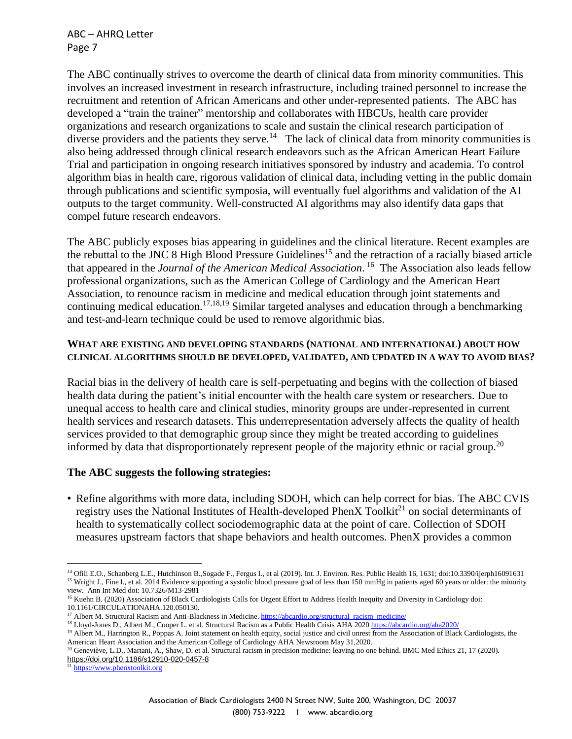The ABC continually strives to overcome the dearth of clinical data from minority communities. This involves an increased investment in research infrastructure, including trained personnel to increase the recruitment and retention of African Americans and other under-represented patients. The ABC has developed a "train the trainer" mentorship and collaborates with HBCUs, health care provider organizations and research organizations to scale and sustain the clinical research participation of diverse providers and the patients they serve.<sup>14</sup> The lack of clinical data from minority communities is also being addressed through clinical research endeavors such as the African American Heart Failure Trial and participation in ongoing research initiatives sponsored by industry and academia. To control algorithm bias in health care, rigorous validation of clinical data, including vetting in the public domain through publications and scientific symposia, will eventually fuel algorithms and validation of the AI outputs to the target community. Well-constructed AI algorithms may also identify data gaps that compel future research endeavors.

The ABC publicly exposes bias appearing in guidelines and the clinical literature. Recent examples are the rebuttal to the JNC 8 High Blood Pressure Guidelines<sup>15</sup> and the retraction of a racially biased article that appeared in the *Journal of the American Medical Association*. 16 The Association also leads fellow professional organizations, such as the American College of Cardiology and the American Heart Association, to renounce racism in medicine and medical education through joint statements and continuing medical education.17,18,19 Similar targeted analyses and education through a benchmarking and test-and-learn technique could be used to remove algorithmic bias.

#### **WHAT ARE EXISTING AND DEVELOPING STANDARDS (NATIONAL AND INTERNATIONAL) ABOUT HOW CLINICAL ALGORITHMS SHOULD BE DEVELOPED, VALIDATED, AND UPDATED IN A WAY TO AVOID BIAS?**

Racial bias in the delivery of health care is self-perpetuating and begins with the collection of biased health data during the patient's initial encounter with the health care system or researchers. Due to unequal access to health care and clinical studies, minority groups are under-represented in current health services and research datasets. This underrepresentation adversely affects the quality of health services provided to that demographic group since they might be treated according to guidelines informed by data that disproportionately represent people of the majority ethnic or racial group.<sup>20</sup>

## **The ABC suggests the following strategies:**

• Refine algorithms with more data, including SDOH, which can help correct for bias. The ABC CVIS registry uses the National Institutes of Health-developed PhenX Toolki $t^{21}$  on social determinants of health to systematically collect sociodemographic data at the point of care. Collection of SDOH measures upstream factors that shape behaviors and health outcomes. PhenX provides a common

<sup>&</sup>lt;sup>14</sup> Ofili E.O., Schanberg L.E., Hutchinson B.,Sogade F., Fergus I., et al (2019). Int. J. Environ. Res. Public Health 16, 1631; doi:10.3390/ijerph16091631 <sup>15</sup> Wright J., Fine l., et al. 2014 Evidence supporting a systolic blood pressure goal of less than 150 mmHg in patients aged 60 years or older: the minority view. Ann Int Med doi: 10.7326/M13-2981

<sup>&</sup>lt;sup>16</sup> Kuehn B. (2020) Association of Black Cardiologists Calls for Urgent Effort to Address Health Inequity and Diversity in Cardiology doi: 10.1161/CIRCULATIONAHA.120.050130.

<sup>&</sup>lt;sup>17</sup> Albert M. Structural Racism and Anti-Blackness in Medicine. [https://abcardio.org/structural\\_racism\\_medicine/](https://abcardio.org/structural_racism_medicine/)

<sup>&</sup>lt;sup>18</sup> Lloyd-Jones D., Albert M., Cooper L. et al. Structural Racism as a Public Health Crisis AHA 2020 <https://abcardio.org/aha2020/>

<sup>&</sup>lt;sup>19</sup> Albert M., Harrington R., Poppas A. Joint statement on health equity, social justice and civil unrest from the Association of Black Cardiologists, the American Heart Association and the American College of Cardiology AHA Newsroom May 31,2020.

<sup>&</sup>lt;sup>20</sup> Geneviève, L.D., Martani, A., Shaw, D. et al. Structural racism in precision medicine: leaving no one behind. BMC Med Ethics 21, 17 (2020). <https://doi.org/10.1186/s12910-020-0457-8>

<sup>&</sup>lt;sup>21</sup> [https://www.phenxtoolkit.org](https://www.phenxtoolkit.org/)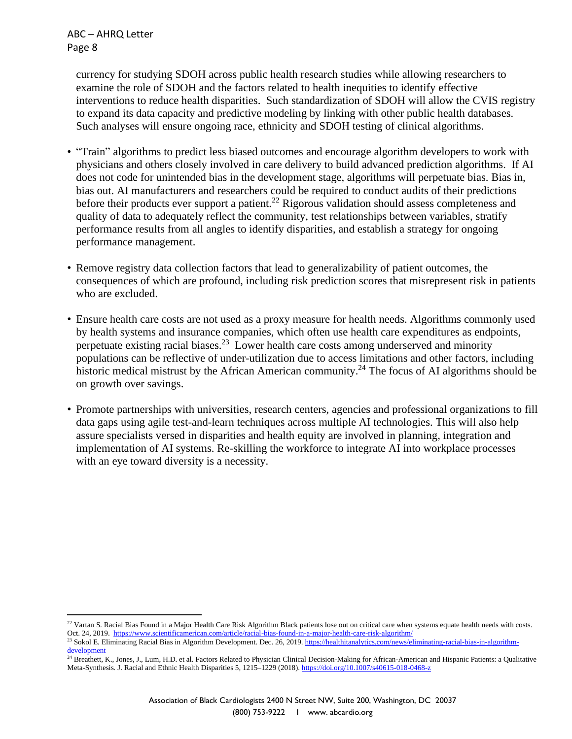currency for studying SDOH across public health research studies while allowing researchers to examine the role of SDOH and the factors related to health inequities to identify effective interventions to reduce health disparities. Such standardization of SDOH will allow the CVIS registry to expand its data capacity and predictive modeling by linking with other public health databases. Such analyses will ensure ongoing race, ethnicity and SDOH testing of clinical algorithms.

- "Train" algorithms to predict less biased outcomes and encourage algorithm developers to work with physicians and others closely involved in care delivery to build advanced prediction algorithms. If AI does not code for unintended bias in the development stage, algorithms will perpetuate bias. Bias in, bias out. AI manufacturers and researchers could be required to conduct audits of their predictions before their products ever support a patient.<sup>22</sup> Rigorous validation should assess completeness and quality of data to adequately reflect the community, test relationships between variables, stratify performance results from all angles to identify disparities, and establish a strategy for ongoing performance management.
- Remove registry data collection factors that lead to generalizability of patient outcomes, the consequences of which are profound, including risk prediction scores that misrepresent risk in patients who are excluded.
- Ensure health care costs are not used as a proxy measure for health needs. Algorithms commonly used by health systems and insurance companies, which often use health care expenditures as endpoints, perpetuate existing racial biases.<sup>23</sup> Lower health care costs among underserved and minority populations can be reflective of under-utilization due to access limitations and other factors, including historic medical mistrust by the African American community.<sup>24</sup> The focus of AI algorithms should be on growth over savings.
- Promote partnerships with universities, research centers, agencies and professional organizations to fill data gaps using agile test-and-learn techniques across multiple AI technologies. This will also help assure specialists versed in disparities and health equity are involved in planning, integration and implementation of AI systems. Re-skilling the workforce to integrate AI into workplace processes with an eye toward diversity is a necessity.

<sup>&</sup>lt;sup>22</sup> Vartan S. Racial Bias Found in a Major Health Care Risk Algorithm Black patients lose out on critical care when systems equate health needs with costs. Oct. 24, 2019.<https://www.scientificamerican.com/article/racial-bias-found-in-a-major-health-care-risk-algorithm/>

<sup>&</sup>lt;sup>23</sup> Sokol E. Eliminating Racial Bias in Algorithm Development. Dec. 26, 2019. [https://healthitanalytics.com/news/eliminating-racial-bias-in-algorithm](https://healthitanalytics.com/news/eliminating-racial-bias-in-algorithm-development)[development](https://healthitanalytics.com/news/eliminating-racial-bias-in-algorithm-development)

<sup>&</sup>lt;sup>24</sup> Breathett, K., Jones, J., Lum, H.D. et al. Factors Related to Physician Clinical Decision-Making for African-American and Hispanic Patients: a Qualitative Meta-Synthesis. J. Racial and Ethnic Health Disparities 5, 1215–1229 (2018). <https://doi.org/10.1007/s40615-018-0468-z>